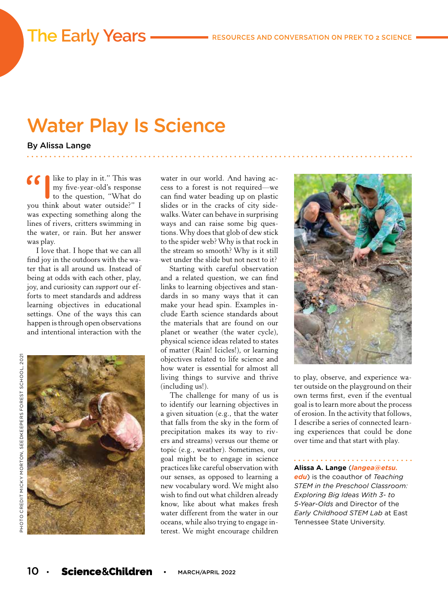# Water Play Is Science

By Alissa Lange

**66** like to play in it." This was<br>my five-year-old's response<br>to the question, "What do my five-year-old's response you think about water outside?" I was expecting something along the lines of rivers, critters swimming in the water, or rain. But her answer was play.

**The Early Years -**

I love that. I hope that we can all find joy in the outdoors with the water that is all around us. Instead of being at odds with each other, play, joy, and curiosity can *support* our efforts to meet standards and address learning objectives in educational settings. One of the ways this can happen is through open observations and intentional interaction with the



water in our world. And having access to a forest is not required—we can find water beading up on plastic slides or in the cracks of city sidewalks. Water can behave in surprising ways and can raise some big questions. Why does that glob of dew stick to the spider web? Why is that rock in the stream so smooth? Why is it still wet under the slide but not next to it?

Starting with careful observation and a related question, we can find links to learning objectives and standards in so many ways that it can make your head spin. Examples include Earth science standards about the materials that are found on our planet or weather (the water cycle), physical science ideas related to states of matter (Rain! Icicles!), or learning objectives related to life science and how water is essential for almost all living things to survive and thrive (including us!).

The challenge for many of us is to identify our learning objectives in a given situation (e.g., that the water that falls from the sky in the form of precipitation makes its way to rivers and streams) versus our theme or topic (e.g., weather). Sometimes, our goal might be to engage in science practices like careful observation with our senses, as opposed to learning a new vocabulary word. We might also wish to find out what children already know, like about what makes fresh water different from the water in our oceans, while also trying to engage interest. We might encourage children



to play, observe, and experience water outside on the playground on their own terms first, even if the eventual goal is to learn more about the process of erosion. In the activity that follows, I describe a series of connected learning experiences that could be done over time and that start with play.

#### **Alissa A. Lange** (*langea@etsu.*

*edu*) is the coauthor of *Teaching STEM in the Preschool Classroom: Exploring Big Ideas With 3- to 5-Year-Olds* and Director of the *Early Childhood STEM Lab* at East Tennessee State University.